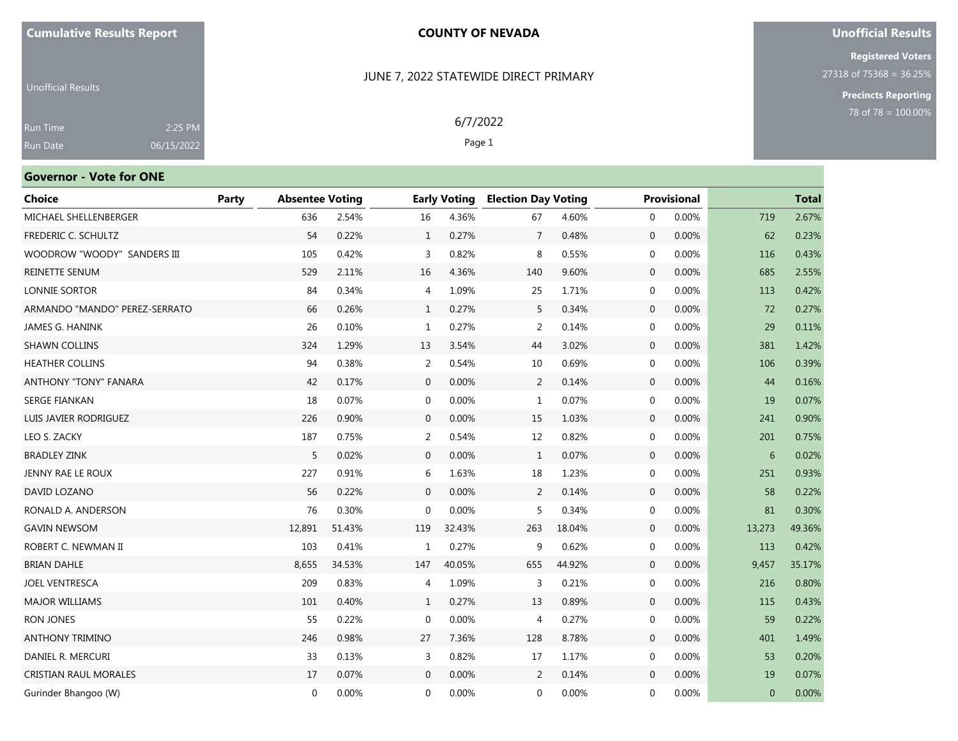### JUNE 7, 2022 STATEWIDE DIRECT PRIMARY

6/7/2022 Page 1

### **Unofficial Results**

**Registered Voters** 27318 of 75368 = 36.25%

**Precincts Reporting**

| <b>Unofficial Results</b> |            |
|---------------------------|------------|
| Run Time                  | 2:25 PM    |
| <b>Run Date</b>           | 06/15/2022 |

# **Governor - Vote for ONE**

| <b>Choice</b>                 | Party | <b>Absentee Voting</b> |        |              | <b>Early Voting</b> | <b>Election Day Voting</b> |        |              | <b>Provisional</b> |          | <b>Total</b> |
|-------------------------------|-------|------------------------|--------|--------------|---------------------|----------------------------|--------|--------------|--------------------|----------|--------------|
| MICHAEL SHELLENBERGER         |       | 636                    | 2.54%  | 16           | 4.36%               | 67                         | 4.60%  | $\mathbf{0}$ | 0.00%              | 719      | 2.67%        |
| FREDERIC C. SCHULTZ           |       | 54                     | 0.22%  | $\mathbf{1}$ | 0.27%               | $\overline{7}$             | 0.48%  | $\mathbf{0}$ | 0.00%              | 62       | 0.23%        |
| WOODROW "WOODY" SANDERS III   |       | 105                    | 0.42%  | 3            | 0.82%               | 8                          | 0.55%  | $\mathbf{0}$ | 0.00%              | 116      | 0.43%        |
| REINETTE SENUM                |       | 529                    | 2.11%  | 16           | 4.36%               | 140                        | 9.60%  | $\mathbf 0$  | 0.00%              | 685      | 2.55%        |
| LONNIE SORTOR                 |       | 84                     | 0.34%  | 4            | 1.09%               | 25                         | 1.71%  | $\mathbf 0$  | 0.00%              | 113      | 0.42%        |
| ARMANDO "MANDO" PEREZ-SERRATO |       | 66                     | 0.26%  | $\mathbf{1}$ | 0.27%               | 5                          | 0.34%  | $\mathbf 0$  | 0.00%              | 72       | 0.27%        |
| JAMES G. HANINK               |       | 26                     | 0.10%  | 1            | 0.27%               | $\overline{2}$             | 0.14%  | $\mathbf{0}$ | 0.00%              | 29       | 0.11%        |
| <b>SHAWN COLLINS</b>          |       | 324                    | 1.29%  | 13           | 3.54%               | 44                         | 3.02%  | $\mathbf 0$  | 0.00%              | 381      | 1.42%        |
| <b>HEATHER COLLINS</b>        |       | 94                     | 0.38%  | 2            | 0.54%               | 10                         | 0.69%  | $\mathbf 0$  | 0.00%              | 106      | 0.39%        |
| <b>ANTHONY "TONY" FANARA</b>  |       | 42                     | 0.17%  | $\mathbf{0}$ | 0.00%               | 2                          | 0.14%  | $\mathbf{0}$ | 0.00%              | 44       | 0.16%        |
| <b>SERGE FIANKAN</b>          |       | 18                     | 0.07%  | $\mathbf 0$  | 0.00%               | $\mathbf{1}$               | 0.07%  | $\mathbf 0$  | 0.00%              | 19       | 0.07%        |
| LUIS JAVIER RODRIGUEZ         |       | 226                    | 0.90%  | $\mathbf{0}$ | 0.00%               | 15                         | 1.03%  | $\mathbf 0$  | 0.00%              | 241      | 0.90%        |
| LEO S. ZACKY                  |       | 187                    | 0.75%  | 2            | 0.54%               | 12                         | 0.82%  | $\mathbf 0$  | 0.00%              | 201      | 0.75%        |
| <b>BRADLEY ZINK</b>           |       | 5                      | 0.02%  | $\mathbf{0}$ | 0.00%               | $\mathbf{1}$               | 0.07%  | $\mathbf 0$  | 0.00%              | 6        | 0.02%        |
| JENNY RAE LE ROUX             |       | 227                    | 0.91%  | 6            | 1.63%               | 18                         | 1.23%  | $\mathbf 0$  | 0.00%              | 251      | 0.93%        |
| DAVID LOZANO                  |       | 56                     | 0.22%  | $\mathbf{0}$ | 0.00%               | 2                          | 0.14%  | $\mathbf 0$  | 0.00%              | 58       | 0.22%        |
| RONALD A. ANDERSON            |       | 76                     | 0.30%  | $\mathbf{0}$ | 0.00%               | 5                          | 0.34%  | $\mathbf 0$  | 0.00%              | 81       | 0.30%        |
| <b>GAVIN NEWSOM</b>           |       | 12,891                 | 51.43% | 119          | 32.43%              | 263                        | 18.04% | $\mathbf 0$  | 0.00%              | 13,273   | 49.36%       |
| ROBERT C. NEWMAN II           |       | 103                    | 0.41%  | 1            | 0.27%               | 9                          | 0.62%  | $\mathbf 0$  | 0.00%              | 113      | 0.42%        |
| <b>BRIAN DAHLE</b>            |       | 8,655                  | 34.53% | 147          | 40.05%              | 655                        | 44.92% | $\mathbf 0$  | 0.00%              | 9,457    | 35.17%       |
| <b>JOEL VENTRESCA</b>         |       | 209                    | 0.83%  | 4            | 1.09%               | 3                          | 0.21%  | $\mathbf 0$  | 0.00%              | 216      | 0.80%        |
| <b>MAJOR WILLIAMS</b>         |       | 101                    | 0.40%  | $\mathbf{1}$ | 0.27%               | 13                         | 0.89%  | $\mathbf 0$  | 0.00%              | 115      | 0.43%        |
| <b>RON JONES</b>              |       | 55                     | 0.22%  | $\mathbf{0}$ | 0.00%               | 4                          | 0.27%  | 0            | 0.00%              | 59       | 0.22%        |
| <b>ANTHONY TRIMINO</b>        |       | 246                    | 0.98%  | 27           | 7.36%               | 128                        | 8.78%  | $\mathbf{0}$ | 0.00%              | 401      | 1.49%        |
| DANIEL R. MERCURI             |       | 33                     | 0.13%  | 3            | 0.82%               | 17                         | 1.17%  | $\mathbf{0}$ | 0.00%              | 53       | 0.20%        |
| CRISTIAN RAUL MORALES         |       | 17                     | 0.07%  | $\mathbf{0}$ | 0.00%               | 2                          | 0.14%  | $\mathbf 0$  | 0.00%              | 19       | 0.07%        |
| Gurinder Bhangoo (W)          |       | $\mathbf{0}$           | 0.00%  | $\Omega$     | 0.00%               | $\mathbf{0}$               | 0.00%  | $\Omega$     | 0.00%              | $\Omega$ | 0.00%        |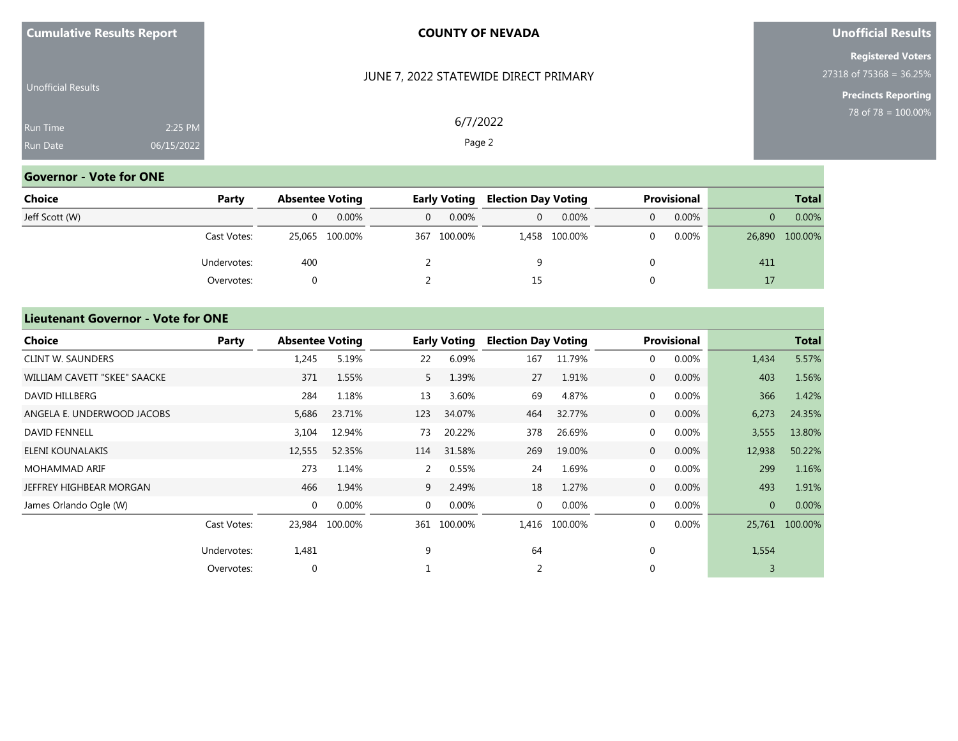| <b>Cumulative Results Report</b> |  |  |
|----------------------------------|--|--|
|----------------------------------|--|--|

JUNE 7, 2022 STATEWIDE DIRECT PRIMARY

6/7/2022 Page 2

### **Unofficial Results**

**Registered Voters** 27318 of 75368 = 36.25%

**Precincts Reporting**

| <b>Run Time</b><br>2:25 PM    |  |
|-------------------------------|--|
| 06/15/2022<br><b>Run Date</b> |  |

# **Governor - Vote for ONE**

| Choice         | Party       | <b>Absentee Voting</b> |                | <b>Early Voting</b> |             | <b>Election Day Voting</b> |               | Provisional |          | <b>Total</b> |                |
|----------------|-------------|------------------------|----------------|---------------------|-------------|----------------------------|---------------|-------------|----------|--------------|----------------|
| Jeff Scott (W) |             | 0                      | $0.00\%$       |                     | $0.00\%$    | $\Omega$                   | $0.00\%$      | $\Omega$    | $0.00\%$ |              | 0.00%          |
|                | Cast Votes: |                        | 25,065 100.00% |                     | 367 100.00% |                            | 1,458 100.00% |             | 0.00%    |              | 26,890 100.00% |
|                | Undervotes: | 400                    |                |                     |             |                            |               |             |          | 411          |                |
|                | Overvotes:  |                        |                |                     |             | 15                         |               |             |          | 17           |                |

### **Lieutenant Governor - Vote for ONE**

| <b>Choice</b>                | Party       | <b>Absentee Voting</b> |                |                | <b>Early Voting</b> | <b>Election Day Voting</b> |         |                | <b>Provisional</b> |                | <b>Total</b> |
|------------------------------|-------------|------------------------|----------------|----------------|---------------------|----------------------------|---------|----------------|--------------------|----------------|--------------|
| <b>CLINT W. SAUNDERS</b>     |             | 1,245                  | 5.19%          | 22             | 6.09%               | 167                        | 11.79%  | $\mathbf 0$    | 0.00%              | 1,434          | 5.57%        |
| WILLIAM CAVETT "SKEE" SAACKE |             | 371                    | 1.55%          | 5              | 1.39%               | 27                         | 1.91%   | $\overline{0}$ | 0.00%              | 403            | 1.56%        |
| DAVID HILLBERG               |             | 284                    | 1.18%          | 13             | 3.60%               | 69                         | 4.87%   | $\mathbf 0$    | 0.00%              | 366            | 1.42%        |
| ANGELA E. UNDERWOOD JACOBS   |             | 5,686                  | 23.71%         | 123            | 34.07%              | 464                        | 32.77%  | $\overline{0}$ | 0.00%              | 6,273          | 24.35%       |
| <b>DAVID FENNELL</b>         |             | 3,104                  | 12.94%         | 73             | 20.22%              | 378                        | 26.69%  | $\mathbf{0}$   | 0.00%              | 3,555          | 13.80%       |
| ELENI KOUNALAKIS             |             | 12,555                 | 52.35%         | 114            | 31.58%              | 269                        | 19.00%  | $\overline{0}$ | 0.00%              | 12,938         | 50.22%       |
| <b>MOHAMMAD ARIF</b>         |             | 273                    | 1.14%          | 2              | 0.55%               | 24                         | 1.69%   | $\mathbf 0$    | 0.00%              | 299            | 1.16%        |
| JEFFREY HIGHBEAR MORGAN      |             | 466                    | 1.94%          | 9              | 2.49%               | 18                         | 1.27%   | $\overline{0}$ | 0.00%              | 493            | 1.91%        |
| James Orlando Ogle (W)       |             | $\mathbf 0$            | 0.00%          | $\overline{0}$ | 0.00%               | $\mathbf{0}$               | 0.00%   | $\mathbf{0}$   | 0.00%              | $\overline{0}$ | 0.00%        |
|                              | Cast Votes: |                        | 23,984 100.00% | 361            | 100.00%             | 1,416                      | 100.00% | $\mathbf 0$    | 0.00%              | 25,761         | 100.00%      |
|                              | Undervotes: | 1,481                  |                | 9              |                     | 64                         |         | $\mathbf 0$    |                    | 1,554          |              |
|                              | Overvotes:  | $\mathbf 0$            |                |                |                     | 2                          |         | $\Omega$       |                    |                |              |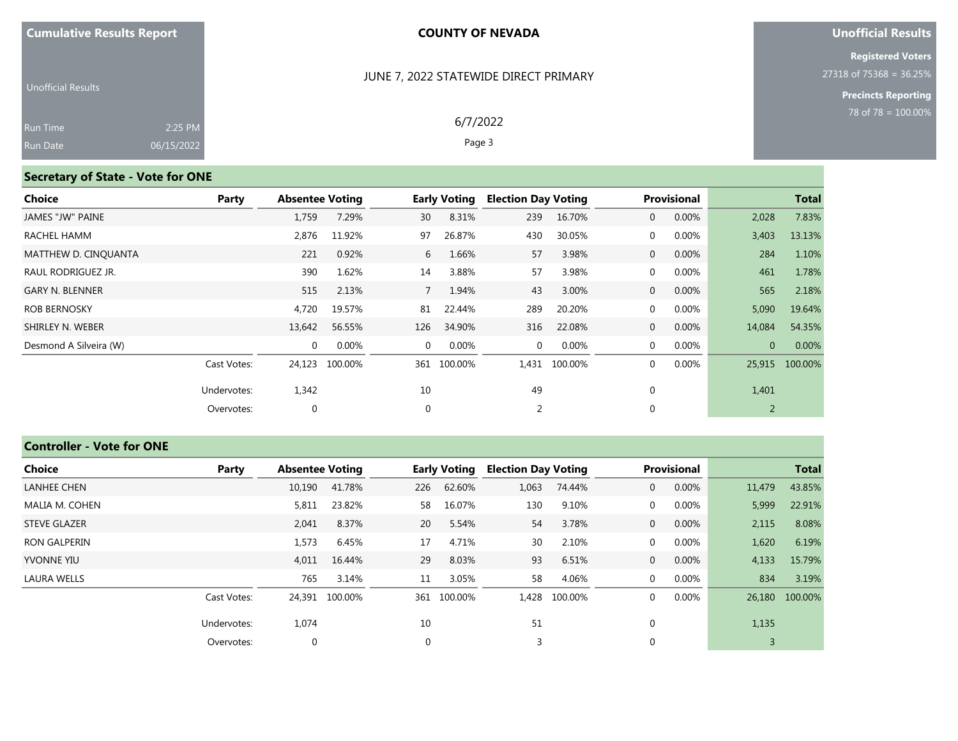### JUNE 7, 2022 STATEWIDE DIRECT PRIMARY

6/7/2022 Page 3

## **Unofficial Results**

**Registered Voters** 27318 of 75368 = 36.25%

**Precincts Reporting**

| <b>Unofficial Results</b> |            |  |
|---------------------------|------------|--|
| <b>Run Time</b>           | 2:25 PM    |  |
| <b>Run Date</b>           | 06/15/2022 |  |

# **Secretary of State - Vote for ONE**

| Choice                 | Party       | <b>Absentee Voting</b> |         |             | <b>Early Voting</b> | <b>Election Day Voting</b> |               |                | <b>Provisional</b> |          | <b>Total</b>   |
|------------------------|-------------|------------------------|---------|-------------|---------------------|----------------------------|---------------|----------------|--------------------|----------|----------------|
| JAMES "JW" PAINE       |             | 1,759                  | 7.29%   | 30          | 8.31%               | 239                        | 16.70%        | $\overline{0}$ | 0.00%              | 2,028    | 7.83%          |
| RACHEL HAMM            |             | 2,876                  | 11.92%  | 97          | 26.87%              | 430                        | 30.05%        | $\overline{0}$ | $0.00\%$           | 3,403    | 13.13%         |
| MATTHEW D. CINOUANTA   |             | 221                    | 0.92%   | 6           | 1.66%               | 57                         | 3.98%         | $\overline{0}$ | $0.00\%$           | 284      | 1.10%          |
| RAUL RODRIGUEZ JR.     |             | 390                    | 1.62%   | 14          | 3.88%               | 57                         | 3.98%         | $\overline{0}$ | $0.00\%$           | 461      | 1.78%          |
| <b>GARY N. BLENNER</b> |             | 515                    | 2.13%   | $7^{\circ}$ | 1.94%               | 43                         | 3.00%         | $\overline{0}$ | $0.00\%$           | 565      | 2.18%          |
| <b>ROB BERNOSKY</b>    |             | 4,720                  | 19.57%  | 81          | 22.44%              | 289                        | 20.20%        | $\overline{0}$ | 0.00%              | 5,090    | 19.64%         |
| SHIRLEY N. WEBER       |             | 13,642                 | 56.55%  | 126         | 34.90%              | 316                        | 22.08%        | $\overline{0}$ | 0.00%              | 14,084   | 54.35%         |
| Desmond A Silveira (W) |             | $\mathbf{0}$           | 0.00%   | $\Omega$    | $0.00\%$            | $\mathbf 0$                | 0.00%         | $\overline{0}$ | 0.00%              | $\Omega$ | 0.00%          |
|                        | Cast Votes: | 24,123                 | 100.00% |             | 361 100.00%         |                            | 1,431 100.00% | $\overline{0}$ | 0.00%              |          | 25,915 100.00% |
|                        | Undervotes: | 1,342                  |         | 10          |                     | 49                         |               | $\mathbf 0$    |                    | 1,401    |                |
|                        | Overvotes:  | $\mathbf 0$            |         | $\mathbf 0$ |                     | 2                          |               | $\mathbf 0$    |                    | 2        |                |

# **Controller - Vote for ONE**

| Choice              | Party       | <b>Absentee Voting</b> |                |             | <b>Early Voting</b> | <b>Election Day Voting</b> |         |                | <b>Provisional</b> |        | <b>Total</b>   |
|---------------------|-------------|------------------------|----------------|-------------|---------------------|----------------------------|---------|----------------|--------------------|--------|----------------|
| <b>LANHEE CHEN</b>  |             | 10,190                 | 41.78%         | 226         | 62.60%              | 1,063                      | 74.44%  | $\overline{0}$ | 0.00%              | 11,479 | 43.85%         |
| MALIA M. COHEN      |             | 5,811                  | 23.82%         | 58          | 16.07%              | 130                        | 9.10%   | $\mathbf{0}$   | 0.00%              | 5,999  | 22.91%         |
| <b>STEVE GLAZER</b> |             | 2,041                  | 8.37%          | 20          | 5.54%               | 54                         | 3.78%   | $\overline{0}$ | 0.00%              | 2,115  | 8.08%          |
| <b>RON GALPERIN</b> |             | 1,573                  | 6.45%          | 17          | 4.71%               | 30                         | 2.10%   | $\mathbf{0}$   | 0.00%              | 1,620  | 6.19%          |
| <b>YVONNE YIU</b>   |             | 4,011                  | 16.44%         | 29          | 8.03%               | 93                         | 6.51%   | $\overline{0}$ | 0.00%              | 4,133  | 15.79%         |
| <b>LAURA WELLS</b>  |             | 765                    | 3.14%          | 11          | 3.05%               | 58                         | 4.06%   | $\mathbf{0}$   | 0.00%              | 834    | 3.19%          |
|                     | Cast Votes: |                        | 24,391 100.00% |             | 361 100.00%         | 1,428                      | 100.00% | $\Omega$       | 0.00%              |        | 26,180 100.00% |
|                     | Undervotes: | 1,074                  |                | 10          |                     | 51                         |         | $\Omega$       |                    | 1,135  |                |
|                     | Overvotes:  | $\mathbf{0}$           |                | $\mathbf 0$ |                     | 3                          |         | $\Omega$       |                    | 3      |                |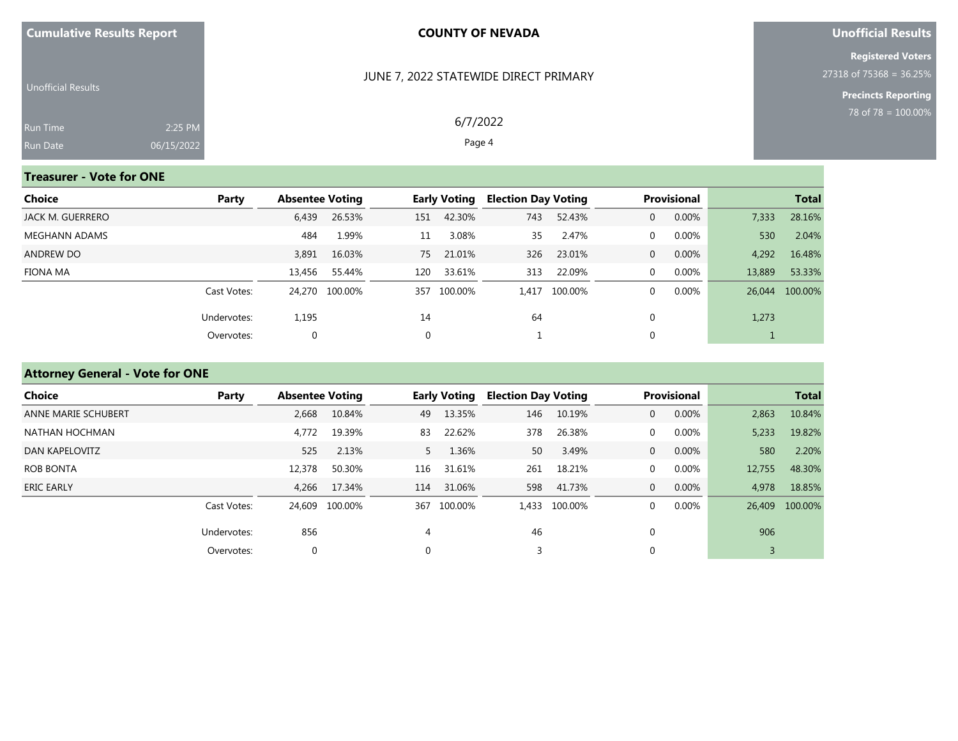|  |  |  | <b>Cumulative Results Report</b> |
|--|--|--|----------------------------------|
|--|--|--|----------------------------------|

### JUNE 7, 2022 STATEWIDE DIRECT PRIMARY

6/7/2022 Page 4

## **Unofficial Results**

**Registered Voters** 27318 of 75368 = 36.25%

**Precincts Reporting**

| Unofficial Results |            |  |
|--------------------|------------|--|
| <b>Run Time</b>    | $2:25$ PM  |  |
| <b>Run Date</b>    | 06/15/2022 |  |

# **Treasurer - Vote for ONE**

| Choice           | Party       | <b>Absentee Voting</b> |                |     | <b>Early Voting</b> |     | <b>Election Day Voting</b> |                | <b>Provisional</b> | <b>Total</b> |                |
|------------------|-------------|------------------------|----------------|-----|---------------------|-----|----------------------------|----------------|--------------------|--------------|----------------|
| JACK M. GUERRERO |             | 6,439                  | 26.53%         | 151 | 42.30%              | 743 | 52.43%                     | 0              | 0.00%              | 7,333        | 28.16%         |
| MEGHANN ADAMS    |             | 484                    | 1.99%          | 11  | 3.08%               | 35  | 2.47%                      | $\Omega$       | 0.00%              | 530          | 2.04%          |
| ANDREW DO        |             | 3,891                  | 16.03%         | 75  | 21.01%              | 326 | 23.01%                     | $\overline{0}$ | 0.00%              | 4,292        | 16.48%         |
| FIONA MA         |             | 13,456                 | 55.44%         | 120 | 33.61%              | 313 | 22.09%                     | $\Omega$       | 0.00%              | 13,889       | 53.33%         |
|                  | Cast Votes: |                        | 24,270 100.00% |     | 357 100.00%         |     | 1,417 100.00%              | 0              | 0.00%              |              | 26,044 100.00% |
|                  | Undervotes: | 1,195                  |                | 14  |                     | 64  |                            |                |                    | 1,273        |                |
|                  | Overvotes:  | $\mathbf{0}$           |                |     |                     |     |                            |                |                    |              |                |

# **Attorney General - Vote for ONE**

| Choice              | Party       | <b>Absentee Voting</b> |                |          | <b>Early Voting</b> | <b>Election Day Voting</b> |               |                | Provisional |        | <b>Total</b>   |
|---------------------|-------------|------------------------|----------------|----------|---------------------|----------------------------|---------------|----------------|-------------|--------|----------------|
| ANNE MARIE SCHUBERT |             | 2,668                  | 10.84%         | 49       | 13.35%              | 146                        | 10.19%        | $\mathbf{0}$   | 0.00%       | 2,863  | 10.84%         |
| NATHAN HOCHMAN      |             | 4,772                  | 19.39%         | 83       | 22.62%              | 378                        | 26.38%        | $\mathbf{0}$   | 0.00%       | 5,233  | 19.82%         |
| DAN KAPELOVITZ      |             | 525                    | 2.13%          | 5        | 1.36%               | 50                         | 3.49%         | $\overline{0}$ | 0.00%       | 580    | 2.20%          |
| <b>ROB BONTA</b>    |             | 12,378                 | 50.30%         | 116      | 31.61%              | 261                        | 18.21%        | 0              | 0.00%       | 12,755 | 48.30%         |
| <b>ERIC EARLY</b>   |             | 4,266                  | 17.34%         | 114      | 31.06%              | 598                        | 41.73%        | $\overline{0}$ | 0.00%       | 4,978  | 18.85%         |
|                     | Cast Votes: |                        | 24.609 100.00% | 367      | 100.00%             |                            | 1,433 100.00% | $\Omega$       | 0.00%       |        | 26,409 100.00% |
|                     | Undervotes: | 856                    |                | 4        |                     | 46                         |               | $\mathbf{0}$   |             | 906    |                |
|                     | Overvotes:  |                        |                | $\Omega$ |                     |                            |               | 0              |             | 3      |                |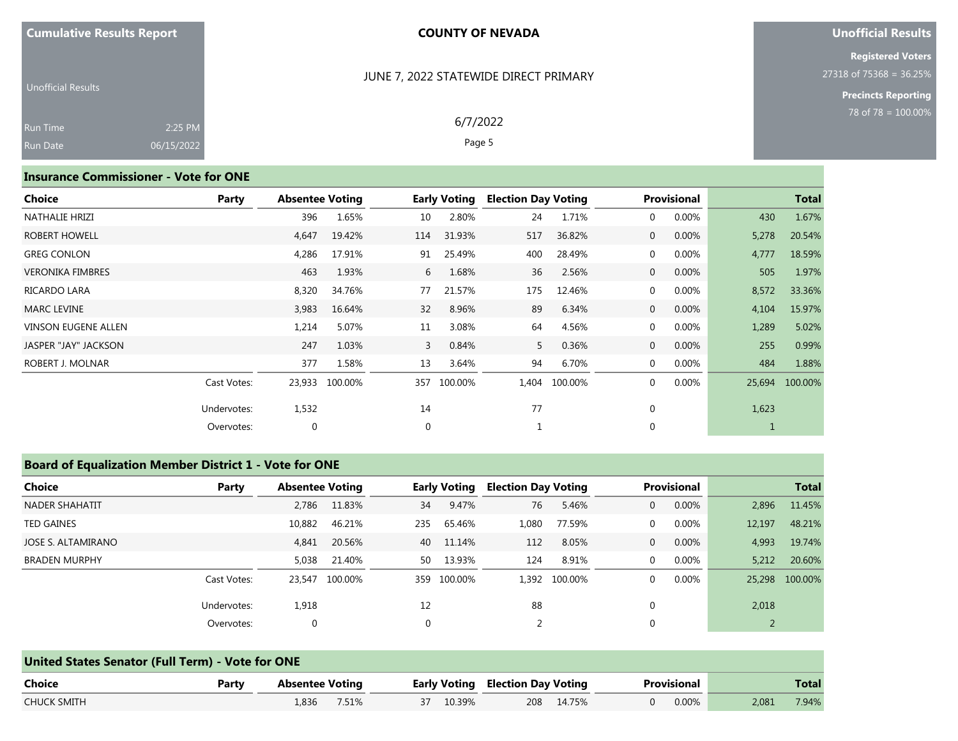### JUNE 7, 2022 STATEWIDE DIRECT PRIMARY

### **Unofficial Results**

**Registered Voters** 27318 of 75368 = 36.25%

> **Precincts Reporting** 78 of 78 = 100.00%

| <b>Unofficial Results</b> |            |  |
|---------------------------|------------|--|
| <b>Run Time</b>           | 2:25 PM    |  |
| <b>Run Date</b>           | 06/15/2022 |  |

# 6/7/2022

Page 5

### **Insurance Commissioner - Vote for ONE**

| Choice                     | Party       | <b>Absentee Voting</b> |         |             | <b>Early Voting</b> | <b>Election Day Voting</b> |         |                | Provisional |             | <b>Total</b> |
|----------------------------|-------------|------------------------|---------|-------------|---------------------|----------------------------|---------|----------------|-------------|-------------|--------------|
| NATHALIE HRIZI             |             | 396                    | 1.65%   | 10          | 2.80%               | 24                         | 1.71%   | 0              | 0.00%       | 430         | 1.67%        |
| ROBERT HOWELL              |             | 4,647                  | 19.42%  | 114         | 31.93%              | 517                        | 36.82%  | $\overline{0}$ | 0.00%       | 5,278       | 20.54%       |
| <b>GREG CONLON</b>         |             | 4,286                  | 17.91%  | 91          | 25.49%              | 400                        | 28.49%  | 0              | 0.00%       | 4,777       | 18.59%       |
| <b>VERONIKA FIMBRES</b>    |             | 463                    | 1.93%   | 6           | 1.68%               | 36                         | 2.56%   | $\overline{0}$ | 0.00%       | 505         | 1.97%        |
| RICARDO LARA               |             | 8,320                  | 34.76%  | 77          | 21.57%              | 175                        | 12.46%  | 0              | $0.00\%$    | 8,572       | 33.36%       |
| <b>MARC LEVINE</b>         |             | 3,983                  | 16.64%  | 32          | 8.96%               | 89                         | 6.34%   | $\overline{0}$ | 0.00%       | 4,104       | 15.97%       |
| <b>VINSON EUGENE ALLEN</b> |             | 1,214                  | 5.07%   | 11          | 3.08%               | 64                         | 4.56%   | 0              | 0.00%       | 1,289       | 5.02%        |
| JASPER "JAY" JACKSON       |             | 247                    | 1.03%   | 3           | 0.84%               | 5                          | 0.36%   | $\overline{0}$ | 0.00%       | 255         | 0.99%        |
| ROBERT J. MOLNAR           |             | 377                    | 1.58%   | 13          | 3.64%               | 94                         | 6.70%   | 0              | 0.00%       | 484         | 1.88%        |
|                            | Cast Votes: | 23,933                 | 100.00% | 357         | 100.00%             | 1,404                      | 100.00% | $\mathbf{0}$   | 0.00%       | 25,694      | 100.00%      |
|                            | Undervotes: | 1,532                  |         | 14          |                     | 77                         |         | 0              |             | 1,623       |              |
|                            | Overvotes:  | 0                      |         | $\mathbf 0$ |                     |                            |         | 0              |             | $\mathbf 1$ |              |

## **Board of Equalization Member District 1 - Vote for ONE**

| <b>Choice</b>        | Party       | <b>Absentee Voting</b> |                |     | <b>Early Voting</b> | <b>Election Day Voting</b> |               |              | <b>Provisional</b> |        | <b>Total</b>   |
|----------------------|-------------|------------------------|----------------|-----|---------------------|----------------------------|---------------|--------------|--------------------|--------|----------------|
| NADER SHAHATIT       |             | 2,786                  | 11.83%         | 34  | 9.47%               | 76                         | 5.46%         | $\mathbf{0}$ | 0.00%              | 2,896  | 11.45%         |
| <b>TED GAINES</b>    |             | 10,882                 | 46.21%         | 235 | 65.46%              | 1,080                      | 77.59%        | $\mathbf{0}$ | 0.00%              | 12,197 | 48.21%         |
| JOSE S. ALTAMIRANO   |             | 4.841                  | 20.56%         | 40  | 11.14%              | 112                        | 8.05%         | $\mathbf{0}$ | 0.00%              | 4,993  | 19.74%         |
| <b>BRADEN MURPHY</b> |             | 5,038                  | 21.40%         | 50  | 13.93%              | 124                        | 8.91%         | $\mathbf{0}$ | $0.00\%$           | 5,212  | 20.60%         |
|                      | Cast Votes: |                        | 23,547 100.00% |     | 359 100.00%         |                            | 1,392 100.00% | $\mathbf 0$  | 0.00%              |        | 25,298 100.00% |
|                      | Undervotes: | 1,918                  |                | 12  |                     | 88                         |               | 0            |                    | 2,018  |                |
|                      | Overvotes:  | 0                      |                | 0   |                     | $\overline{2}$             |               | 0            |                    |        |                |

|                    | United States Senator (Full Term) - Vote for ONE |                        |       |  |           |  |                                         |  |             |       |       |  |  |
|--------------------|--------------------------------------------------|------------------------|-------|--|-----------|--|-----------------------------------------|--|-------------|-------|-------|--|--|
| Choice             | Party                                            | <b>Absentee Voting</b> |       |  |           |  | <b>Early Voting Election Day Voting</b> |  | Provisional |       | Total |  |  |
| <b>CHUCK SMITH</b> |                                                  | L.836.                 | 7.51% |  | 37 10.39% |  | 208 14.75%                              |  | 0.00%       | 2.081 | 7.94% |  |  |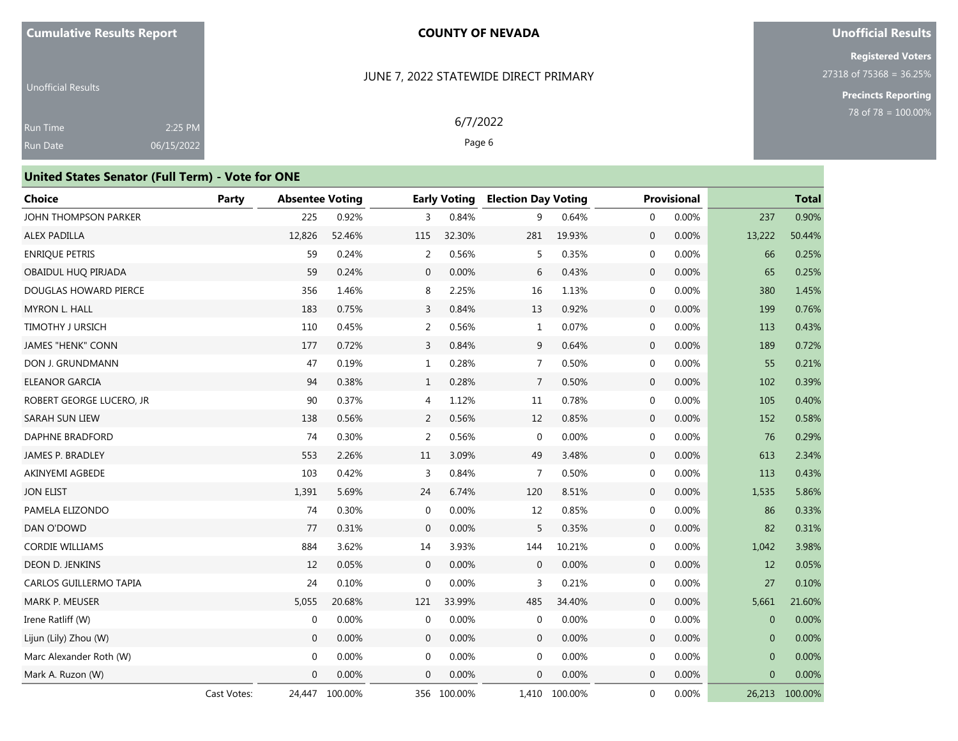### **Unofficial Results**

**Registered Voters** 27318 of 75368 = 36.25%

> **Precincts Reporting** 78 of 78 = 100.00%

Unofficial Results Run Time Run Date 2:25 PM 06/15/2022

# JUNE 7, 2022 STATEWIDE DIRECT PRIMARY

6/7/2022 Page 6

| <b>United States Senator (Full Term) - Vote for ONE</b> |             |                        |         |                |                     |                            |         |                       |              |                         |
|---------------------------------------------------------|-------------|------------------------|---------|----------------|---------------------|----------------------------|---------|-----------------------|--------------|-------------------------|
| <b>Choice</b>                                           | Party       | <b>Absentee Voting</b> |         |                | <b>Early Voting</b> | <b>Election Day Voting</b> |         | <b>Provisional</b>    |              | <b>Total</b>            |
| JOHN THOMPSON PARKER                                    |             | 225                    | 0.92%   | 3              | 0.84%               | 9                          | 0.64%   | 0.00%<br>$\mathbf{0}$ | 237          | 0.90%                   |
| ALEX PADILLA                                            |             | 12,826                 | 52.46%  | 115            | 32.30%              | 281                        | 19.93%  | $\mathbf{0}$<br>0.00% | 13,222       | 50.44%                  |
| <b>ENRIQUE PETRIS</b>                                   |             | 59                     | 0.24%   | 2              | 0.56%               | 5                          | 0.35%   | 0.00%<br>0            | 66           | 0.25%                   |
| OBAIDUL HUO PIRJADA                                     |             | 59                     | 0.24%   | $\mathbf{0}$   | 0.00%               | 6                          | 0.43%   | $\mathbf 0$<br>0.00%  | 65           | 0.25%                   |
| DOUGLAS HOWARD PIERCE                                   |             | 356                    | 1.46%   | 8              | 2.25%               | 16                         | 1.13%   | 0.00%<br>0            | 380          | 1.45%                   |
| <b>MYRON L. HALL</b>                                    |             | 183                    | 0.75%   | 3              | 0.84%               | 13                         | 0.92%   | $\mathbf{0}$<br>0.00% | 199          | 0.76%                   |
| <b>TIMOTHY J URSICH</b>                                 |             | 110                    | 0.45%   | 2              | 0.56%               | 1                          | 0.07%   | 0<br>0.00%            | 113          | 0.43%                   |
| <b>JAMES "HENK" CONN</b>                                |             | 177                    | 0.72%   | 3              | 0.84%               | 9                          | 0.64%   | 0.00%<br>$\mathbf 0$  | 189          | 0.72%                   |
| DON J. GRUNDMANN                                        |             | 47                     | 0.19%   | $\mathbf{1}$   | 0.28%               | $\overline{7}$             | 0.50%   | $\mathbf{0}$<br>0.00% | 55           | 0.21%                   |
| <b>ELEANOR GARCIA</b>                                   |             | 94                     | 0.38%   | $\mathbf{1}$   | 0.28%               | 7                          | 0.50%   | 0.00%<br>$\mathbf 0$  | 102          | 0.39%                   |
| ROBERT GEORGE LUCERO, JR                                |             | 90                     | 0.37%   | 4              | 1.12%               | 11                         | 0.78%   | $\mathbf{0}$<br>0.00% | 105          | 0.40%                   |
| SARAH SUN LIEW                                          |             | 138                    | 0.56%   | 2              | 0.56%               | 12                         | 0.85%   | 0.00%<br>$\mathbf 0$  | 152          | 0.58%                   |
| DAPHNE BRADFORD                                         |             | 74                     | 0.30%   | 2              | 0.56%               | $\mathbf 0$                | 0.00%   | 0<br>0.00%            | 76           | 0.29%                   |
| JAMES P. BRADLEY                                        |             | 553                    | 2.26%   | 11             | 3.09%               | 49                         | 3.48%   | 0.00%<br>$\mathbf 0$  | 613          | 2.34%                   |
| AKINYEMI AGBEDE                                         |             | 103                    | 0.42%   | $\overline{3}$ | 0.84%               | $\overline{7}$             | 0.50%   | 0<br>0.00%            | 113          | 0.43%                   |
| <b>JON ELIST</b>                                        |             | 1,391                  | 5.69%   | 24             | 6.74%               | 120                        | 8.51%   | $\mathbf 0$<br>0.00%  | 1,535        | 5.86%                   |
| PAMELA ELIZONDO                                         |             | 74                     | 0.30%   | $\mathbf{0}$   | 0.00%               | 12                         | 0.85%   | 0.00%<br>0            | 86           | 0.33%                   |
| DAN O'DOWD                                              |             | 77                     | 0.31%   | $\mathbf 0$    | 0.00%               | 5                          | 0.35%   | $\mathbf 0$<br>0.00%  | 82           | 0.31%                   |
| <b>CORDIE WILLIAMS</b>                                  |             | 884                    | 3.62%   | 14             | 3.93%               | 144                        | 10.21%  | 0.00%<br>$\mathbf{0}$ | 1,042        | 3.98%                   |
| <b>DEON D. JENKINS</b>                                  |             | 12                     | 0.05%   | $\mathbf{0}$   | 0.00%               | $\mathbf{0}$               | 0.00%   | 0.00%<br>$\mathbf{0}$ | 12           | 0.05%                   |
| CARLOS GUILLERMO TAPIA                                  |             | 24                     | 0.10%   | $\Omega$       | 0.00%               | 3                          | 0.21%   | $\mathbf{0}$<br>0.00% | 27           | 0.10%                   |
| <b>MARK P. MEUSER</b>                                   |             | 5,055                  | 20.68%  | 121            | 33.99%              | 485                        | 34.40%  | $\mathbf{0}$<br>0.00% | 5,661        | 21.60%                  |
| Irene Ratliff (W)                                       |             | $\mathbf 0$            | 0.00%   | $\mathbf{0}$   | 0.00%               | 0                          | 0.00%   | 0.00%<br>$\mathbf{0}$ | $\mathbf{0}$ | 0.00%                   |
| Lijun (Lily) Zhou (W)                                   |             | $\mathbf{0}$           | 0.00%   | $\mathbf{0}$   | 0.00%               | $\mathbf 0$                | 0.00%   | $\mathbf{0}$<br>0.00% |              | $\mathbf{0}$<br>0.00%   |
| Marc Alexander Roth (W)                                 |             | $\mathbf{0}$           | 0.00%   | $\mathbf{0}$   | 0.00%               | $\mathbf 0$                | 0.00%   | 0<br>0.00%            |              | 0.00%<br>$\mathbf{0}$   |
| Mark A. Ruzon (W)                                       |             | $\Omega$               | 0.00%   | $\Omega$       | 0.00%               | $\mathbf{0}$               | 0.00%   | $\mathbf{0}$<br>0.00% |              | $\overline{0}$<br>0.00% |
|                                                         | Cast Votes: | 24,447                 | 100.00% | 356            | 100.00%             | 1,410                      | 100.00% | 0<br>0.00%            | 26,213       | 100.00%                 |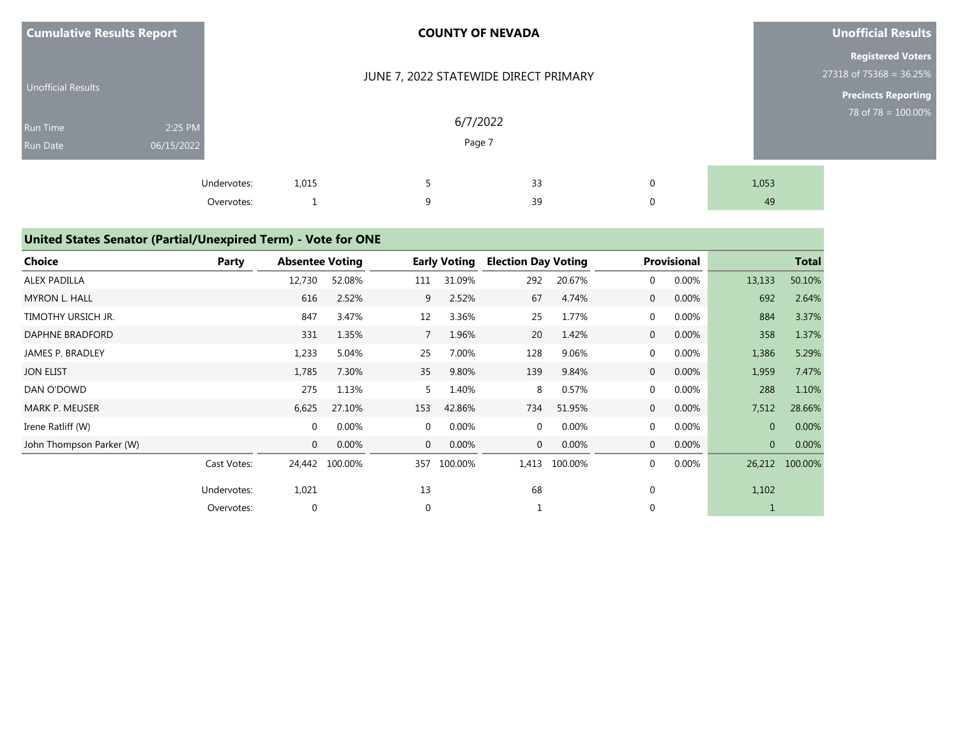| <b>Cumulative Results Report</b> |                       |                     | <b>COUNTY OF NEVADA</b> |                                       | <b>Unofficial Results</b>                           |                            |             |                                                       |
|----------------------------------|-----------------------|---------------------|-------------------------|---------------------------------------|-----------------------------------------------------|----------------------------|-------------|-------------------------------------------------------|
| <b>Unofficial Results</b>        |                       |                     |                         | JUNE 7, 2022 STATEWIDE DIRECT PRIMARY |                                                     |                            |             | <b>Registered Voters</b><br>$27318$ of 75368 = 36.25% |
| Run Time<br>Run Date             | 2:25 PM<br>06/15/2022 |                     |                         |                                       | <b>Precincts Reporting</b><br>78 of 78 = $100.00\%$ |                            |             |                                                       |
|                                  | Undervotes:           | 1,015<br>Overvotes: | 9                       |                                       | 33<br>39                                            | $\mathbf 0$<br>$\mathbf 0$ | 1,053<br>49 |                                                       |

# **United States Senator (Partial/Unexpired Term) - Vote for ONE**

| <b>Choice</b>            | Party       | <b>Absentee Voting</b> |         |             | <b>Early Voting</b> | <b>Election Day Voting</b> |         |                | Provisional |                | <b>Total</b> |
|--------------------------|-------------|------------------------|---------|-------------|---------------------|----------------------------|---------|----------------|-------------|----------------|--------------|
| <b>ALEX PADILLA</b>      |             | 12,730                 | 52.08%  | 111         | 31.09%              | 292                        | 20.67%  | $\mathbf 0$    | 0.00%       | 13,133         | 50.10%       |
| <b>MYRON L. HALL</b>     |             | 616                    | 2.52%   | 9           | 2.52%               | 67                         | 4.74%   | $\mathbf 0$    | 0.00%       | 692            | 2.64%        |
| TIMOTHY URSICH JR.       |             | 847                    | 3.47%   | 12          | 3.36%               | 25                         | 1.77%   | $\mathbf{0}$   | 0.00%       | 884            | 3.37%        |
| DAPHNE BRADFORD          |             | 331                    | 1.35%   | 7           | 1.96%               | 20                         | 1.42%   | $\mathbf 0$    | 0.00%       | 358            | 1.37%        |
| JAMES P. BRADLEY         |             | 1,233                  | 5.04%   | 25          | 7.00%               | 128                        | 9.06%   | $\mathbf 0$    | 0.00%       | 1,386          | 5.29%        |
| <b>JON ELIST</b>         |             | 1,785                  | 7.30%   | 35          | 9.80%               | 139                        | 9.84%   | $\overline{0}$ | 0.00%       | 1,959          | 7.47%        |
| DAN O'DOWD               |             | 275                    | 1.13%   | 5           | 1.40%               | 8                          | 0.57%   | $\mathbf 0$    | 0.00%       | 288            | 1.10%        |
| <b>MARK P. MEUSER</b>    |             | 6,625                  | 27.10%  | 153         | 42.86%              | 734                        | 51.95%  | $\mathbf 0$    | 0.00%       | 7,512          | 28.66%       |
| Irene Ratliff (W)        |             | $\mathbf{0}$           | 0.00%   | $\mathbf 0$ | 0.00%               | $\mathbf{0}$               | 0.00%   | $\mathbf{0}$   | 0.00%       | $\overline{0}$ | 0.00%        |
| John Thompson Parker (W) |             | $\mathbf 0$            | 0.00%   | $\mathbf 0$ | 0.00%               | $\mathbf 0$                | 0.00%   | $\overline{0}$ | 0.00%       | $\overline{0}$ | 0.00%        |
|                          | Cast Votes: | 24,442                 | 100.00% | 357         | 100.00%             | 1,413                      | 100.00% | $\mathbf 0$    | 0.00%       | 26,212         | 100.00%      |
|                          | Undervotes: | 1,021                  |         | 13          |                     | 68                         |         | 0              |             | 1,102          |              |
|                          | Overvotes:  | 0                      |         | $\mathbf 0$ |                     |                            |         | $\mathbf{0}$   |             |                |              |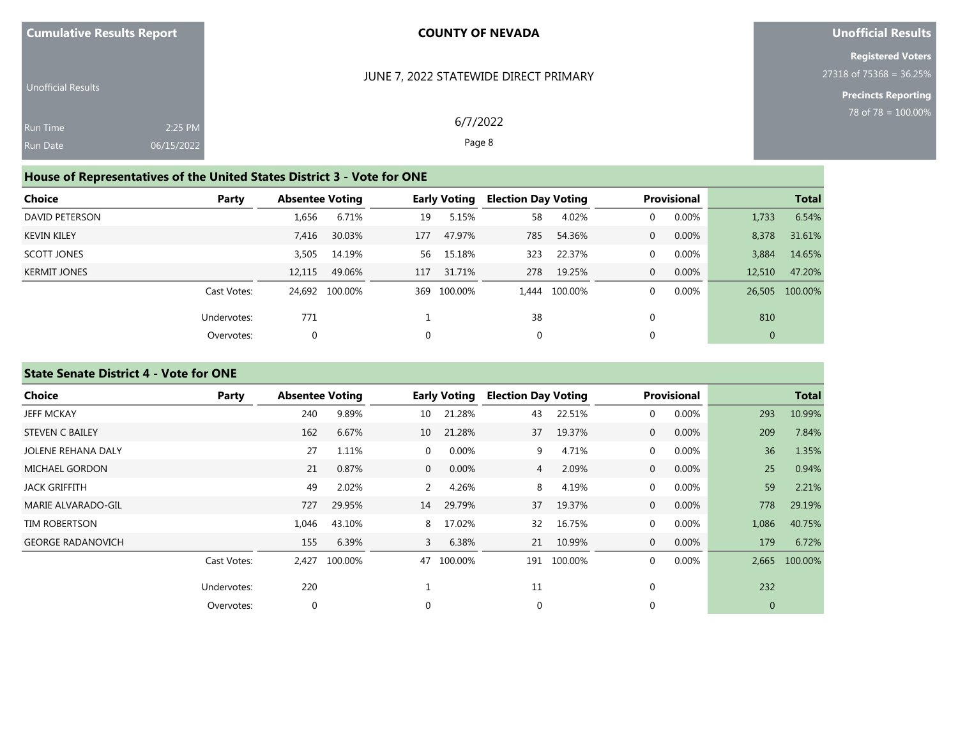|  |  |  | <b>Cumulative Results Report</b> |  |  |
|--|--|--|----------------------------------|--|--|
|--|--|--|----------------------------------|--|--|

## **Unofficial Results**

**Registered Voters** 27318 of 75368 = 36.25%

> **Precincts Reporting** 78 of 78 = 100.00%

| <b>Unofficial Results</b> |            |  |
|---------------------------|------------|--|
| <b>Run Time</b>           | $2:25$ PM  |  |
| <b>Run Date</b>           | 06/15/2022 |  |

6/7/2022

JUNE 7, 2022 STATEWIDE DIRECT PRIMARY

Page 8

# **House of Representatives of the United States District 3 - Vote for ONE**

| Choice              | Party       | <b>Absentee Voting</b> |                |     | <b>Early Voting</b> | <b>Election Day Voting</b> |               |              | <b>Provisional</b> |                | <b>Total</b>   |
|---------------------|-------------|------------------------|----------------|-----|---------------------|----------------------------|---------------|--------------|--------------------|----------------|----------------|
| DAVID PETERSON      |             | 1,656                  | 6.71%          | 19  | 5.15%               | 58                         | 4.02%         | 0            | 0.00%              | 1,733          | 6.54%          |
| <b>KEVIN KILEY</b>  |             | 7,416                  | 30.03%         | 177 | 47.97%              | 785                        | 54.36%        | 0            | 0.00%              | 8,378          | 31.61%         |
| SCOTT JONES         |             | 3,505                  | 14.19%         | 56  | 15.18%              | 323                        | 22.37%        | 0            | 0.00%              | 3,884          | 14.65%         |
| <b>KERMIT JONES</b> |             | 12.115                 | 49.06%         | 117 | 31.71%              | 278                        | 19.25%        | $\mathbf{0}$ | 0.00%              | 12,510         | 47.20%         |
|                     | Cast Votes: |                        | 24.692 100.00% |     | 369 100.00%         |                            | 1,444 100.00% |              | 0.00%              |                | 26,505 100.00% |
|                     | Undervotes: | 771                    |                |     |                     | 38                         |               |              |                    | 810            |                |
|                     | Overvotes:  | 0                      |                | 0   |                     | 0                          |               |              |                    | $\overline{0}$ |                |

# **State Senate District 4 - Vote for ONE**

| Choice                    | Party       | <b>Absentee Voting</b> |         |                | <b>Early Voting</b> | <b>Election Day Voting</b> |         |                | <b>Provisional</b> |                | <b>Total</b> |
|---------------------------|-------------|------------------------|---------|----------------|---------------------|----------------------------|---------|----------------|--------------------|----------------|--------------|
| <b>JEFF MCKAY</b>         |             | 240                    | 9.89%   | 10             | 21.28%              | 43                         | 22.51%  | $\mathbf{0}$   | 0.00%              | 293            | 10.99%       |
| <b>STEVEN C BAILEY</b>    |             | 162                    | 6.67%   | 10             | 21.28%              | 37                         | 19.37%  | $\mathbf{0}$   | 0.00%              | 209            | 7.84%        |
| <b>JOLENE REHANA DALY</b> |             | 27                     | 1.11%   | $\overline{0}$ | 0.00%               | 9                          | 4.71%   | $\mathbf 0$    | 0.00%              | 36             | 1.35%        |
| <b>MICHAEL GORDON</b>     |             | 21                     | 0.87%   | $\overline{0}$ | 0.00%               | 4                          | 2.09%   | $\overline{0}$ | 0.00%              | 25             | 0.94%        |
| JACK GRIFFITH             |             | 49                     | 2.02%   | 2              | 4.26%               | 8                          | 4.19%   | $\mathbf 0$    | 0.00%              | 59             | 2.21%        |
| MARIE ALVARADO-GIL        |             | 727                    | 29.95%  | 14             | 29.79%              | 37                         | 19.37%  | $\mathbf{0}$   | 0.00%              | 778            | 29.19%       |
| <b>TIM ROBERTSON</b>      |             | 1,046                  | 43.10%  | 8              | 17.02%              | 32                         | 16.75%  | $\mathbf{0}$   | 0.00%              | 1,086          | 40.75%       |
| <b>GEORGE RADANOVICH</b>  |             | 155                    | 6.39%   | 3              | 6.38%               | 21                         | 10.99%  | $\overline{0}$ | 0.00%              | 179            | 6.72%        |
|                           | Cast Votes: | 2,427                  | 100.00% | 47             | 100.00%             | 191                        | 100.00% | $\mathbf 0$    | 0.00%              | 2,665          | 100.00%      |
|                           | Undervotes: | 220                    |         |                |                     | 11                         |         | $\mathbf 0$    |                    | 232            |              |
|                           | Overvotes:  | $\boldsymbol{0}$       |         | $\Omega$       |                     | 0                          |         | $\mathbf 0$    |                    | $\overline{0}$ |              |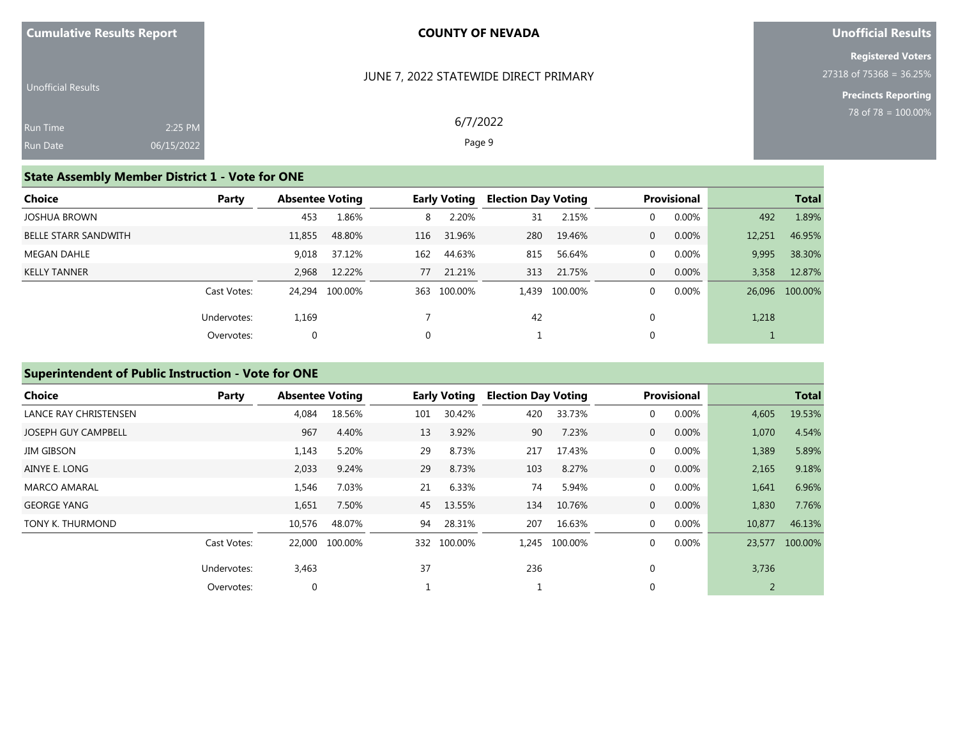| <b>Cumulative Results Report</b> |  |  |  |  |
|----------------------------------|--|--|--|--|
|----------------------------------|--|--|--|--|

#### JUNE 7, 2022 STATEWIDE DIRECT PRIMARY

6/7/2022 Page 9

## **Unofficial Results**

**Registered Voters** 27318 of 75368 = 36.25%

> **Precincts Reporting** 78 of 78 = 100.00%

| <b>Unofficial Results</b> |            |  |
|---------------------------|------------|--|
| <b>Run Time</b>           | $2:25$ PM  |  |
| <b>Run Date</b>           | 06/15/2022 |  |

# **State Assembly Member District 1 - Vote for ONE**

| Choice                      | Party       | <b>Absentee Voting</b> |                |     | Early Voting | <b>Election Day Voting</b> |               |          | <b>Provisional</b> |        | <b>Total</b>   |
|-----------------------------|-------------|------------------------|----------------|-----|--------------|----------------------------|---------------|----------|--------------------|--------|----------------|
| <b>JOSHUA BROWN</b>         |             | 453                    | 1.86%          | 8   | 2.20%        | 31                         | 2.15%         |          | 0.00%              | 492    | 1.89%          |
| <b>BELLE STARR SANDWITH</b> |             | 11,855                 | 48.80%         | 116 | 31.96%       | 280                        | 19.46%        | $\Omega$ | 0.00%              | 12,251 | 46.95%         |
| MEGAN DAHLE                 |             | 9,018                  | 37.12%         | 162 | 44.63%       | 815                        | 56.64%        | $\Omega$ | 0.00%              | 9,995  | 38.30%         |
| <b>KELLY TANNER</b>         |             | 2,968                  | 12.22%         | 77  | 21.21%       | 313                        | 21.75%        | $\Omega$ | 0.00%              | 3,358  | 12.87%         |
|                             | Cast Votes: |                        | 24.294 100.00% |     | 363 100.00%  |                            | 1,439 100.00% |          | 0.00%              |        | 26,096 100.00% |
|                             | Undervotes: | 1,169                  |                |     |              | 42                         |               |          |                    | 1,218  |                |
|                             | Overvotes:  | $\mathbf 0$            |                |     |              |                            |               | U        |                    |        |                |

# **Superintendent of Public Instruction - Vote for ONE**

| <b>Choice</b>              | Party       | <b>Absentee Voting</b> |                |     | Early Voting | <b>Election Day Voting</b> |         |                | <b>Provisional</b> |        | <b>Total</b> |
|----------------------------|-------------|------------------------|----------------|-----|--------------|----------------------------|---------|----------------|--------------------|--------|--------------|
| LANCE RAY CHRISTENSEN      |             | 4,084                  | 18.56%         | 101 | 30.42%       | 420                        | 33.73%  | 0              | 0.00%              | 4,605  | 19.53%       |
| <b>JOSEPH GUY CAMPBELL</b> |             | 967                    | 4.40%          | 13  | 3.92%        | 90                         | 7.23%   | $\overline{0}$ | 0.00%              | 1,070  | 4.54%        |
| <b>JIM GIBSON</b>          |             | 1,143                  | 5.20%          | 29  | 8.73%        | 217                        | 17.43%  | 0              | 0.00%              | 1,389  | 5.89%        |
| AINYE E. LONG              |             | 2,033                  | 9.24%          | 29  | 8.73%        | 103                        | 8.27%   | $\mathbf{0}$   | 0.00%              | 2,165  | 9.18%        |
| <b>MARCO AMARAL</b>        |             | 1,546                  | 7.03%          | 21  | 6.33%        | 74                         | 5.94%   | 0              | 0.00%              | 1,641  | 6.96%        |
| <b>GEORGE YANG</b>         |             | 1,651                  | 7.50%          | 45  | 13.55%       | 134                        | 10.76%  | $\mathbf{0}$   | 0.00%              | 1,830  | 7.76%        |
| TONY K. THURMOND           |             | 10,576                 | 48.07%         | 94  | 28.31%       | 207                        | 16.63%  | $\mathbf{0}$   | 0.00%              | 10,877 | 46.13%       |
|                            | Cast Votes: |                        | 22,000 100.00% |     | 332 100.00%  | 1.245                      | 100.00% | 0              | 0.00%              | 23,577 | 100.00%      |
|                            | Undervotes: | 3,463                  |                | 37  |              | 236                        |         | 0              |                    | 3,736  |              |
|                            | Overvotes:  | $\mathbf 0$            |                |     |              |                            |         | $\Omega$       |                    |        |              |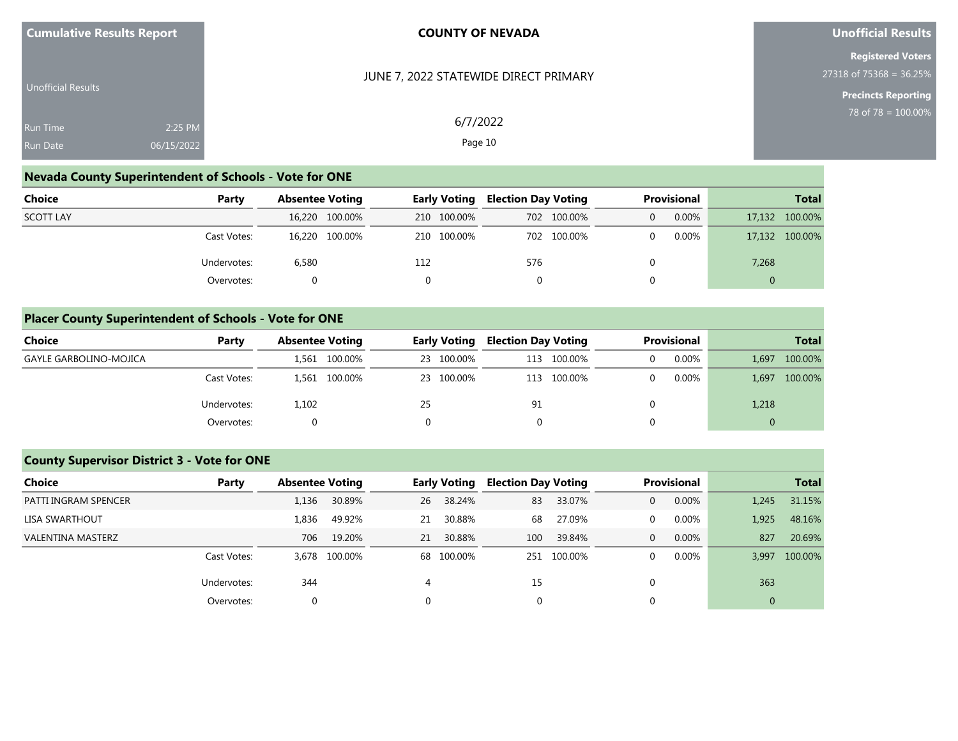| <b>Cumulative Results Report</b>   |                       | <b>COUNTY OF NEVADA</b>               | <b>Unofficial Results</b>                                                         |
|------------------------------------|-----------------------|---------------------------------------|-----------------------------------------------------------------------------------|
| Unofficial Results                 |                       | JUNE 7, 2022 STATEWIDE DIRECT PRIMARY | <b>Registered Voters</b><br>27318 of 75368 = 36.25%<br><b>Precincts Reporting</b> |
| <b>Run Time</b><br><b>Run Date</b> | 2:25 PM<br>06/15/2022 | 6/7/2022<br>Page 10                   | 78 of 78 = $100.00\%$                                                             |

# **Nevada County Superintendent of Schools - Vote for ONE**

| Choice           | Party       | <b>Absentee Voting</b> | <b>Early Voting</b> | <b>Election Day Voting</b> | Provisional | <b>Total</b>   |  |
|------------------|-------------|------------------------|---------------------|----------------------------|-------------|----------------|--|
| <b>SCOTT LAY</b> |             | 16,220 100.00%         | 210 100.00%         | 702 100.00%                | 0.00%       | 17,132 100.00% |  |
|                  | Cast Votes: | 16,220 100.00%         | 210 100.00%         | 702 100.00%                | 0.00%       | 17,132 100.00% |  |
|                  | Undervotes: | 6,580                  | 112                 | 576                        |             | 7,268          |  |
|                  | Overvotes:  |                        | 0                   |                            |             | $\Omega$       |  |

# **Placer County Superintendent of Schools - Vote for ONE**

| Choice                        | Party       | <b>Absentee Voting</b> | <b>Early Voting</b> | <b>Election Day Voting</b> | <b>Provisional</b> | <b>Total</b>     |  |
|-------------------------------|-------------|------------------------|---------------------|----------------------------|--------------------|------------------|--|
| <b>GAYLE GARBOLINO-MOJICA</b> |             | 1,561 100.00%          | 23 100.00%          | 100.00%<br>113             | 0.00%              | 100.00%<br>1.697 |  |
|                               | Cast Votes: | 100.00%<br>1.561       | 23 100.00%          | 100.00%<br>113             | $0.00\%$           | 100.00%<br>1.697 |  |
|                               | Undervotes: | 1,102                  | 25                  | 91                         |                    | 1,218            |  |
|                               | Overvotes:  | 0                      |                     |                            |                    | $\overline{0}$   |  |

# **County Supervisor District 3 - Vote for ONE**

| Choice                   | Party       |       | <b>Absentee Voting</b> |    | Early Voting |     | <b>Election Day Voting</b> |              | <b>Provisional</b> |       | <b>Total</b> |  |
|--------------------------|-------------|-------|------------------------|----|--------------|-----|----------------------------|--------------|--------------------|-------|--------------|--|
| PATTI INGRAM SPENCER     |             | 1,136 | 30.89%                 | 26 | 38.24%       | 83  | 33.07%                     | $\mathbf{0}$ | $0.00\%$           | 1,245 | 31.15%       |  |
| LISA SWARTHOUT           |             | 1,836 | 49.92%                 | 21 | 30.88%       | 68  | 27.09%                     | 0            | 0.00%              | 1,925 | 48.16%       |  |
| <b>VALENTINA MASTERZ</b> |             | 706   | 19.20%                 | 21 | 30.88%       | 100 | 39.84%                     | $\Omega$     | 0.00%              | 827   | 20.69%       |  |
|                          | Cast Votes: |       | 3,678 100.00%          |    | 68 100.00%   |     | 251 100.00%                | $\Omega$     | 0.00%              | 3.997 | 100.00%      |  |
|                          | Undervotes: | 344   |                        | 4  |              | 15  |                            |              |                    | 363   |              |  |
|                          | Overvotes:  | 0     |                        |    |              | 0   |                            |              |                    | 0     |              |  |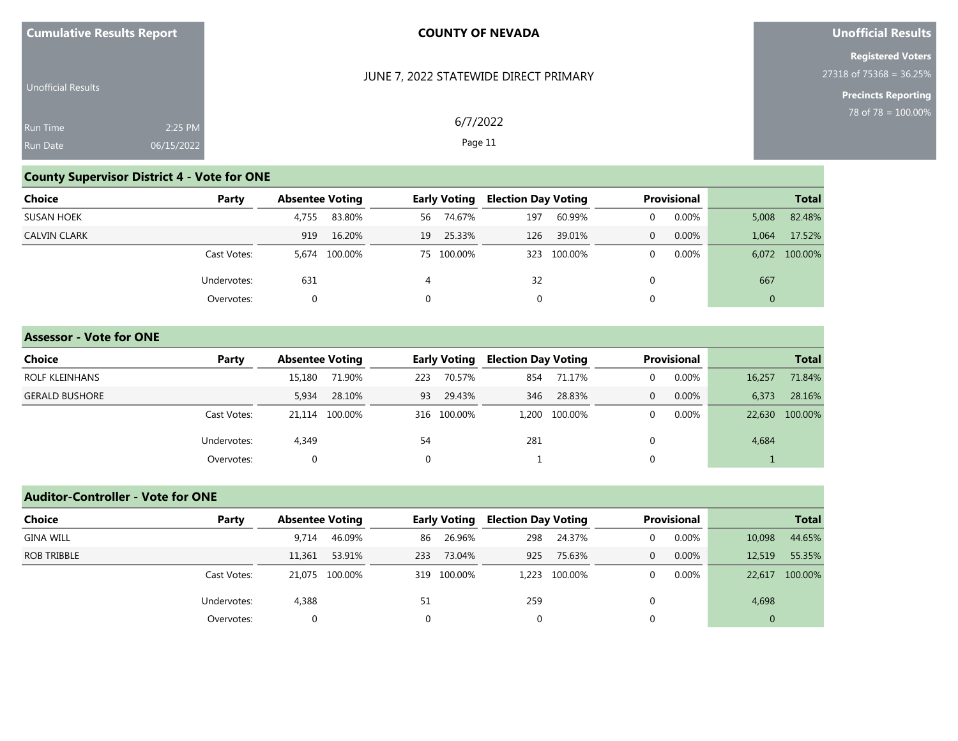| <b>Cumulative Results Report</b> |  |  |
|----------------------------------|--|--|
|----------------------------------|--|--|

## **Unofficial Results**

**Registered Voters** 27318 of 75368 = 36.25%

**Precincts Reporting**

| Unofficial Results |            | JUNE 7, 2022 STATEWIDE DIRECT PRIMARY |  |
|--------------------|------------|---------------------------------------|--|
| <b>Run Time</b>    | 2:25 PM    | 6/7/2022                              |  |
| <b>Run Date</b>    | 06/15/2022 | Page 11                               |  |

# **County Supervisor District 4 - Vote for ONE**

| <b>Choice</b>       | Party       | <b>Absentee Voting</b> |         |          | <b>Early Voting</b> |     | <b>Election Day Voting</b> |   | <b>Provisional</b> |                | <b>Total</b>  |
|---------------------|-------------|------------------------|---------|----------|---------------------|-----|----------------------------|---|--------------------|----------------|---------------|
| <b>SUSAN HOEK</b>   |             | 4,755                  | 83.80%  | 56       | 74.67%              | 197 | 60.99%                     |   | 0.00%              | 5,008          | 82.48%        |
| <b>CALVIN CLARK</b> |             | 919                    | 16.20%  | 19       | 25.33%              | 126 | 39.01%                     | 0 | 0.00%              | 1.064          | 17.52%        |
|                     | Cast Votes: | 5.674                  | 100.00% |          | 75 100.00%          |     | 323 100.00%                |   | 0.00%              |                | 6,072 100.00% |
|                     | Undervotes: | 631                    |         | 4        |                     | 32  |                            |   |                    | 667            |               |
|                     | Overvotes:  | $\Omega$               |         | $\Omega$ |                     |     |                            |   |                    | $\overline{0}$ |               |

#### **Assessor - Vote for ONE**

| Choice                | Party       | <b>Absentee Voting</b> |        | <b>Early Voting</b> |             | <b>Election Day Voting</b> |               | <b>Provisional</b> |       | <b>Total</b> |                |
|-----------------------|-------------|------------------------|--------|---------------------|-------------|----------------------------|---------------|--------------------|-------|--------------|----------------|
| ROLF KLEINHANS        |             | 15,180                 | 71.90% | 223                 | 70.57%      | 854                        | 71.17%        |                    | 0.00% | 16,257       | 71.84%         |
| <b>GERALD BUSHORE</b> |             | 5,934                  | 28.10% | 93                  | 29.43%      | 346                        | 28.83%        |                    | 0.00% | 6,373        | 28.16%         |
|                       | Cast Votes: | 21.114 100.00%         |        |                     | 316 100.00% |                            | 1.200 100.00% |                    | 0.00% |              | 22,630 100.00% |
|                       | Undervotes: | 4,349                  |        | 54                  |             | 281                        |               |                    |       | 4,684        |                |
|                       | Overvotes:  | 0                      |        |                     |             |                            |               |                    |       |              |                |

# **Auditor-Controller - Vote for ONE**

| Choice           | Party       | <b>Absentee Voting</b> |                | Early Voting |             | <b>Election Day Voting</b> |               | Provisional    |       | <b>Total</b>   |         |
|------------------|-------------|------------------------|----------------|--------------|-------------|----------------------------|---------------|----------------|-------|----------------|---------|
| <b>GINA WILL</b> |             | 9.714                  | 46.09%         | 86           | 26.96%      | 298                        | 24.37%        | $\Omega$       | 0.00% | 10,098         | 44.65%  |
| ROB TRIBBLE      |             | 11,361                 | 53.91%         | 233          | 73.04%      | 925                        | 75.63%        | $\overline{0}$ | 0.00% | 12,519         | 55.35%  |
|                  | Cast Votes: |                        | 21.075 100.00% |              | 319 100.00% |                            | 1,223 100.00% | $\Omega$       | 0.00% | 22,617         | 100.00% |
|                  | Undervotes: | 4,388                  |                | 51           |             | 259                        |               |                |       | 4,698          |         |
|                  | Overvotes:  | 0                      |                | $\Omega$     |             | $\mathbf{0}$               |               | 0              |       | $\overline{0}$ |         |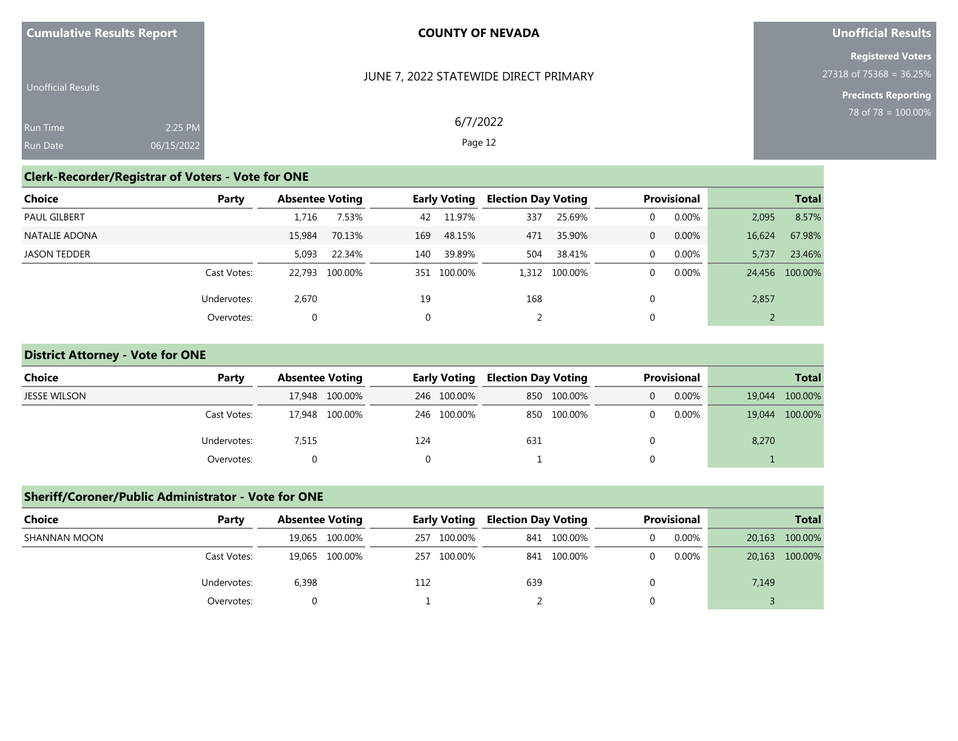| <b>Cumulative Results Report</b> |  |  |
|----------------------------------|--|--|
|                                  |  |  |

## **Unofficial Results**

**Registered Voters** 27318 of 75368 = 36.25%

> **Precincts Reporting** 78 of 78 = 100.00%

| <b>Unofficial Results</b> |            |
|---------------------------|------------|
| <b>Run Time</b>           | $2:25$ PM  |
| <b>Run Date</b>           | 06/15/2022 |

**Clerk-Recorder/Registrar of Voters - Vote for ONE**

## JUNE 7, 2022 STATEWIDE DIRECT PRIMARY

6/7/2022 Page 12

Overvotes: 0 0 2 0 2

| Choice        | Party       |        | <b>Absentee Voting</b> |     |             |     | <b>Early Voting Election Day Voting</b> |    | Provisional |        | <b>Total</b>   |  |
|---------------|-------------|--------|------------------------|-----|-------------|-----|-----------------------------------------|----|-------------|--------|----------------|--|
| PAUL GILBERT  |             | 1.716  | 7.53%                  |     | 42 11.97%   | 337 | 25.69%                                  |    | $0.00\%$    | 2,095  | 8.57%          |  |
| NATALIE ADONA |             | 15,984 | 70.13%                 | 169 | 48.15%      | 471 | 35.90%                                  | 0. | $0.00\%$    | 16,624 | 67.98%         |  |
| JASON TEDDER  |             | 5,093  | 22.34%                 | 140 | 39.89%      | 504 | 38.41%                                  |    | $0.00\%$    | 5.737  | 23.46%         |  |
|               | Cast Votes: |        | 22,793 100.00%         |     | 351 100.00% |     | 1,312 100.00%                           |    | $0.00\%$    |        | 24,456 100.00% |  |
|               | Undervotes: | 2,670  |                        | 19  |             | 168 |                                         |    |             | 2,857  |                |  |

### **District Attorney - Vote for ONE**

| Choice              | Party       | <b>Absentee Voting</b> | Early Voting | <b>Election Day Voting</b> | Provisional | <b>Total</b>   |  |
|---------------------|-------------|------------------------|--------------|----------------------------|-------------|----------------|--|
| <b>JESSE WILSON</b> |             | 17,948 100.00%         | 246 100.00%  | 850 100.00%                | 0.00%       | 19,044 100.00% |  |
|                     | Cast Votes: | 17,948 100.00%         | 246 100.00%  | 850 100.00%                | $0.00\%$    | 19,044 100.00% |  |
|                     | Undervotes: | 7,515                  | 124          | 631                        |             | 8,270          |  |
|                     | Overvotes:  |                        |              |                            |             |                |  |

## **Sheriff/Coroner/Public Administrator - Vote for ONE**

| Choice       | Party       | <b>Absentee Voting</b> | <b>Early Voting</b> | <b>Election Day Voting</b> | Provisional | <b>Total</b>   |  |
|--------------|-------------|------------------------|---------------------|----------------------------|-------------|----------------|--|
| SHANNAN MOON |             | 19,065 100.00%         | 100.00%<br>257      | 841 100.00%                | 0.00%       | 20,163 100.00% |  |
|              | Cast Votes: | 19.065 100.00%         | 257 100.00%         | 841 100.00%                | $0.00\%$    | 20,163 100.00% |  |
|              | Undervotes: | 6,398                  | 112                 | 639                        |             | 7,149          |  |
|              | Overvotes:  |                        |                     |                            |             |                |  |